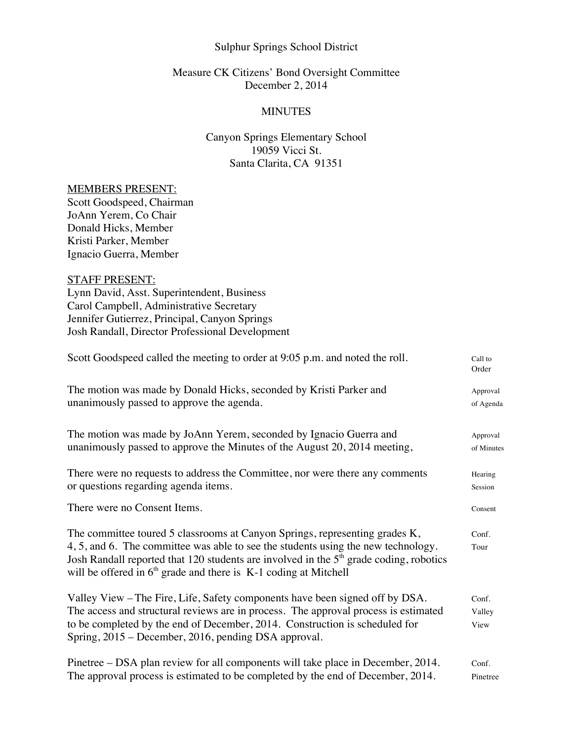## Sulphur Springs School District

### Measure CK Citizens' Bond Oversight Committee December 2, 2014

### MINUTES

# Canyon Springs Elementary School 19059 Vicci St. Santa Clarita, CA 91351

#### MEMBERS PRESENT:

Scott Goodspeed, Chairman JoAnn Yerem, Co Chair Donald Hicks, Member Kristi Parker, Member Ignacio Guerra, Member

# STAFF PRESENT:

Lynn David, Asst. Superintendent, Business Carol Campbell, Administrative Secretary Jennifer Gutierrez, Principal, Canyon Springs Josh Randall, Director Professional Development

| Scott Goodspeed called the meeting to order at 9:05 p.m. and noted the roll.                                                                                                                                                                                                                                                       | Call to<br>Order        |
|------------------------------------------------------------------------------------------------------------------------------------------------------------------------------------------------------------------------------------------------------------------------------------------------------------------------------------|-------------------------|
| The motion was made by Donald Hicks, seconded by Kristi Parker and                                                                                                                                                                                                                                                                 | Approval                |
| unanimously passed to approve the agenda.                                                                                                                                                                                                                                                                                          | of Agenda               |
| The motion was made by JoAnn Yerem, seconded by Ignacio Guerra and                                                                                                                                                                                                                                                                 | Approval                |
| unanimously passed to approve the Minutes of the August 20, 2014 meeting,                                                                                                                                                                                                                                                          | of Minutes              |
| There were no requests to address the Committee, nor were there any comments                                                                                                                                                                                                                                                       | Hearing                 |
| or questions regarding agenda items.                                                                                                                                                                                                                                                                                               | Session                 |
| There were no Consent Items.                                                                                                                                                                                                                                                                                                       | Consent                 |
| The committee toured 5 classrooms at Canyon Springs, representing grades K,<br>4, 5, and 6. The committee was able to see the students using the new technology.<br>Josh Randall reported that 120 students are involved in the $5th$ grade coding, robotics<br>will be offered in $6th$ grade and there is K-1 coding at Mitchell | Conf.<br>Tour           |
| Valley View – The Fire, Life, Safety components have been signed off by DSA.<br>The access and structural reviews are in process. The approval process is estimated<br>to be completed by the end of December, 2014. Construction is scheduled for<br>Spring, 2015 – December, 2016, pending DSA approval.                         | Conf.<br>Valley<br>View |
| Pinetree – DSA plan review for all components will take place in December, 2014.                                                                                                                                                                                                                                                   | Conf.                   |
| The approval process is estimated to be completed by the end of December, 2014.                                                                                                                                                                                                                                                    | Pinetree                |